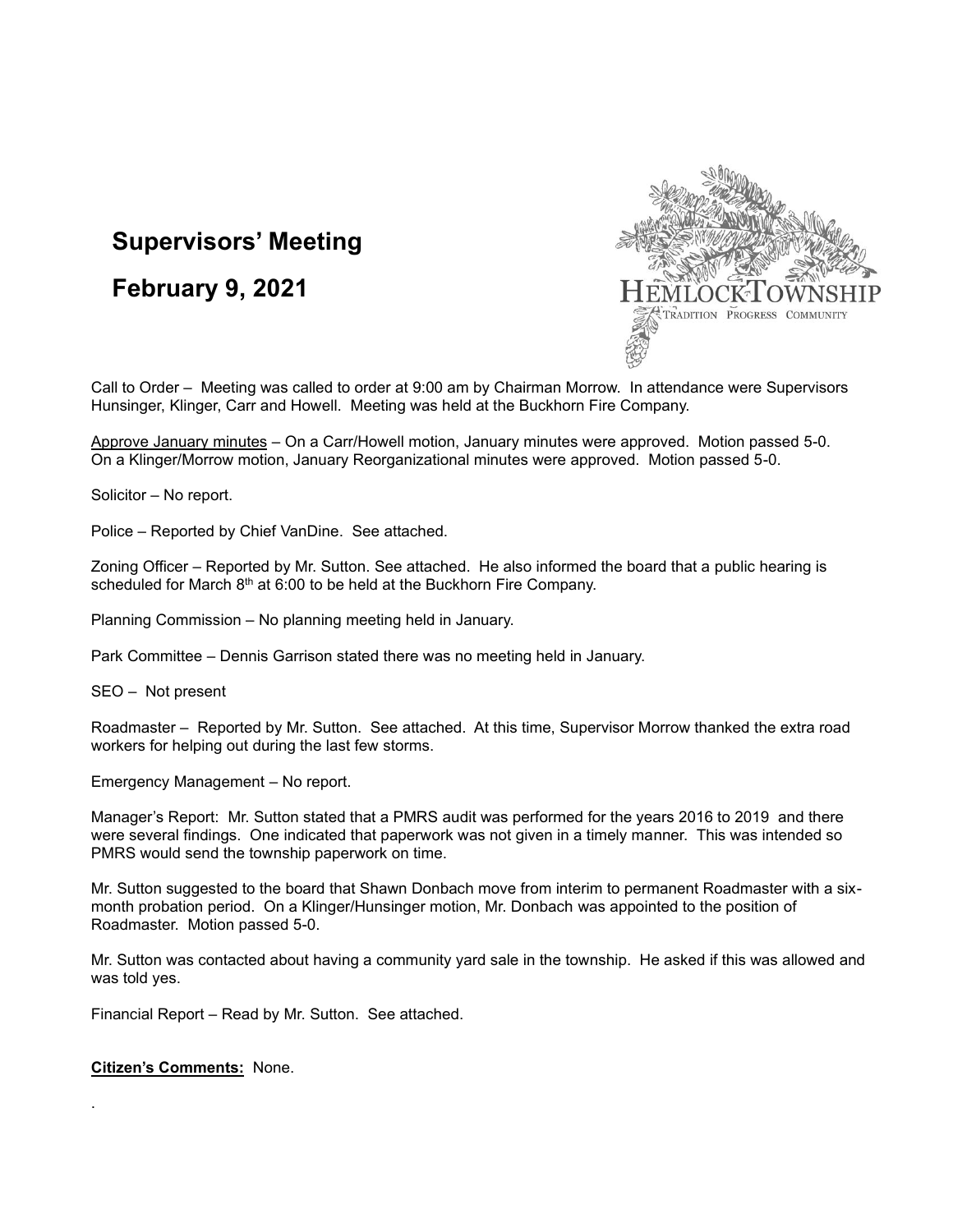# **Supervisors' Meeting**

## **February 9, 2021**



Call to Order – Meeting was called to order at 9:00 am by Chairman Morrow. In attendance were Supervisors Hunsinger, Klinger, Carr and Howell. Meeting was held at the Buckhorn Fire Company.

Approve January minutes – On a Carr/Howell motion, January minutes were approved. Motion passed 5-0. On a Klinger/Morrow motion, January Reorganizational minutes were approved. Motion passed 5-0.

Solicitor – No report.

Police – Reported by Chief VanDine. See attached.

Zoning Officer – Reported by Mr. Sutton. See attached. He also informed the board that a public hearing is scheduled for March  $8<sup>th</sup>$  at 6:00 to be held at the Buckhorn Fire Company.

Planning Commission – No planning meeting held in January.

Park Committee – Dennis Garrison stated there was no meeting held in January.

SEO – Not present

Roadmaster – Reported by Mr. Sutton. See attached. At this time, Supervisor Morrow thanked the extra road workers for helping out during the last few storms.

Emergency Management – No report.

Manager's Report: Mr. Sutton stated that a PMRS audit was performed for the years 2016 to 2019 and there were several findings. One indicated that paperwork was not given in a timely manner. This was intended so PMRS would send the township paperwork on time.

Mr. Sutton suggested to the board that Shawn Donbach move from interim to permanent Roadmaster with a sixmonth probation period. On a Klinger/Hunsinger motion, Mr. Donbach was appointed to the position of Roadmaster. Motion passed 5-0.

Mr. Sutton was contacted about having a community yard sale in the township. He asked if this was allowed and was told yes.

Financial Report – Read by Mr. Sutton. See attached.

#### **Citizen's Comments:** None.

.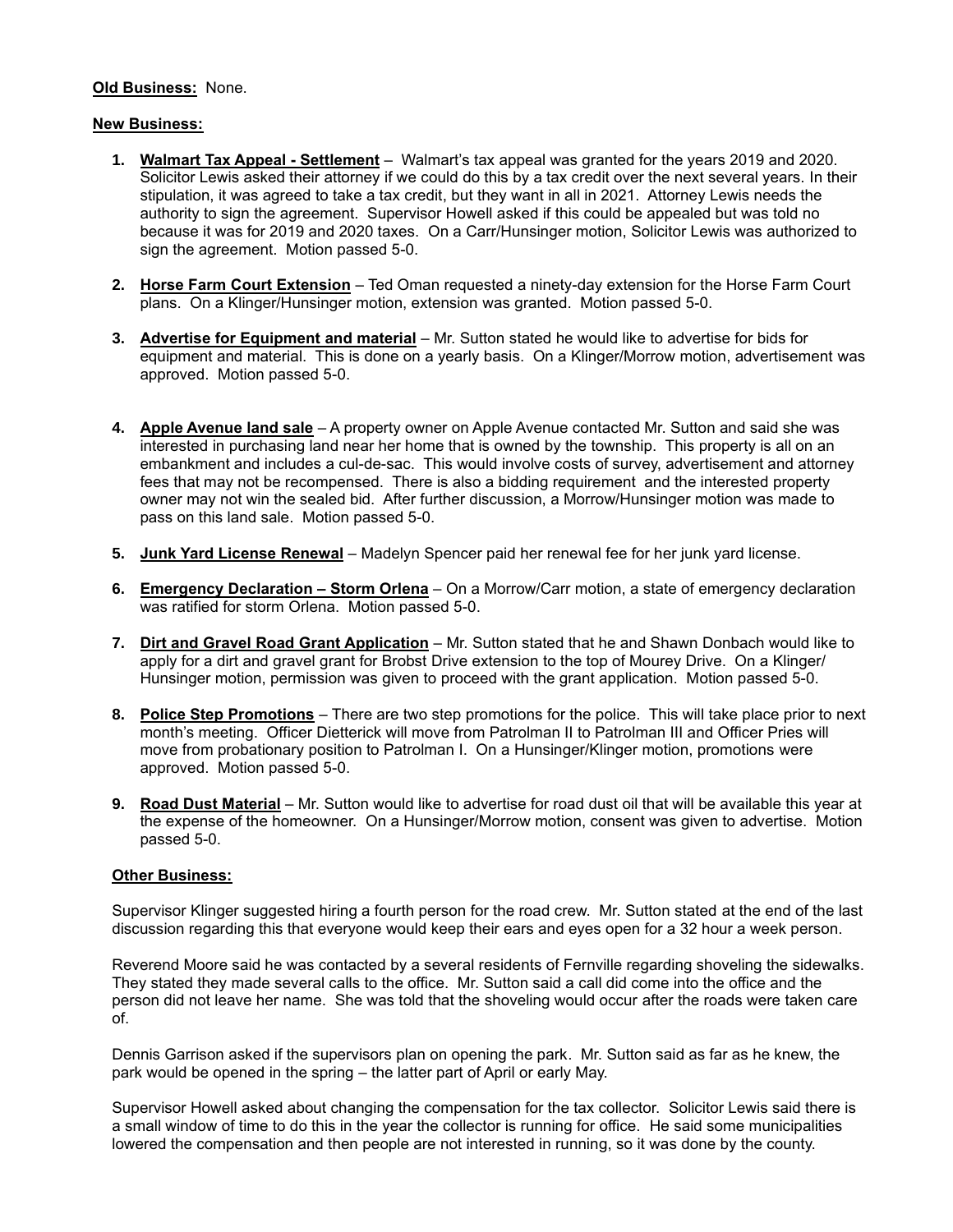#### **Old Business:** None.

### **New Business:**

- **1. Walmart Tax Appeal - Settlement** Walmart's tax appeal was granted for the years 2019 and 2020. Solicitor Lewis asked their attorney if we could do this by a tax credit over the next several years. In their stipulation, it was agreed to take a tax credit, but they want in all in 2021. Attorney Lewis needs the authority to sign the agreement. Supervisor Howell asked if this could be appealed but was told no because it was for 2019 and 2020 taxes. On a Carr/Hunsinger motion, Solicitor Lewis was authorized to sign the agreement. Motion passed 5-0.
- **2. Horse Farm Court Extension** Ted Oman requested a ninety-day extension for the Horse Farm Court plans. On a Klinger/Hunsinger motion, extension was granted. Motion passed 5-0.
- **3. Advertise for Equipment and material** Mr. Sutton stated he would like to advertise for bids for equipment and material. This is done on a yearly basis. On a Klinger/Morrow motion, advertisement was approved. Motion passed 5-0.
- **4. Apple Avenue land sale** A property owner on Apple Avenue contacted Mr. Sutton and said she was interested in purchasing land near her home that is owned by the township. This property is all on an embankment and includes a cul-de-sac. This would involve costs of survey, advertisement and attorney fees that may not be recompensed. There is also a bidding requirement and the interested property owner may not win the sealed bid. After further discussion, a Morrow/Hunsinger motion was made to pass on this land sale. Motion passed 5-0.
- **5. Junk Yard License Renewal** Madelyn Spencer paid her renewal fee for her junk yard license.
- **6. Emergency Declaration – Storm Orlena** On a Morrow/Carr motion, a state of emergency declaration was ratified for storm Orlena. Motion passed 5-0.
- **7. Dirt and Gravel Road Grant Application** Mr. Sutton stated that he and Shawn Donbach would like to apply for a dirt and gravel grant for Brobst Drive extension to the top of Mourey Drive. On a Klinger/ Hunsinger motion, permission was given to proceed with the grant application. Motion passed 5-0.
- **8. Police Step Promotions** There are two step promotions for the police. This will take place prior to next month's meeting. Officer Dietterick will move from Patrolman II to Patrolman III and Officer Pries will move from probationary position to Patrolman I. On a Hunsinger/Klinger motion, promotions were approved. Motion passed 5-0.
- **9. Road Dust Material** Mr. Sutton would like to advertise for road dust oil that will be available this year at the expense of the homeowner. On a Hunsinger/Morrow motion, consent was given to advertise. Motion passed 5-0.

#### **Other Business:**

Supervisor Klinger suggested hiring a fourth person for the road crew. Mr. Sutton stated at the end of the last discussion regarding this that everyone would keep their ears and eyes open for a 32 hour a week person.

Reverend Moore said he was contacted by a several residents of Fernville regarding shoveling the sidewalks. They stated they made several calls to the office. Mr. Sutton said a call did come into the office and the person did not leave her name. She was told that the shoveling would occur after the roads were taken care of.

Dennis Garrison asked if the supervisors plan on opening the park. Mr. Sutton said as far as he knew, the park would be opened in the spring – the latter part of April or early May.

Supervisor Howell asked about changing the compensation for the tax collector. Solicitor Lewis said there is a small window of time to do this in the year the collector is running for office. He said some municipalities lowered the compensation and then people are not interested in running, so it was done by the county.